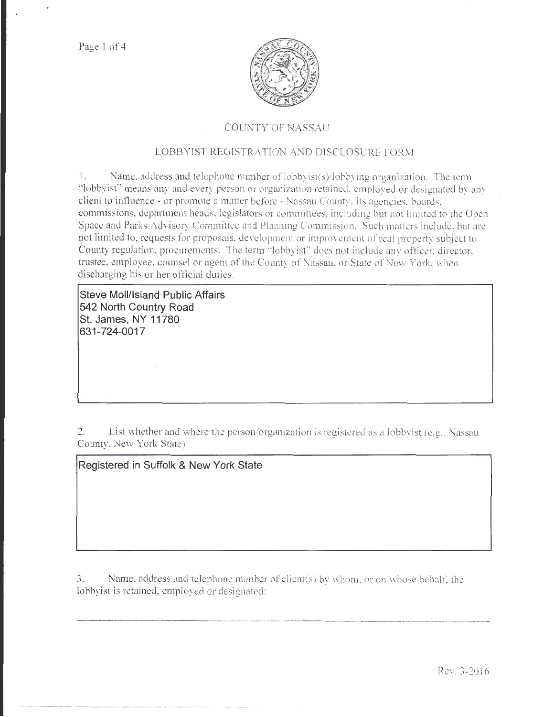

## COUNTY OF NASSAU

# LOBBYIST REGISTRATION AND DISCLOSURE FORM

l. Name. address and telephone number of lobbyist(s)/lobbying organization. The term "lobbyisf' means any and every person or organization retained. employed or designated by any client to influence - or promote a matter before - Nassau County, its agencies. boards. commissions, department heads, legislators or committees, including but not limited to the Open Space and Parks Advisory Committee and Planning Commission. Such matters include, but are not limited to, requests for proposals, development or improvement of real property subject to County regulation, procurements. The term "lobbyist" does not include any officer, director, trustee, employee, counsel or agent of the County of Nassau, or State of New York, when discharging his or her official duties.

**Steve Moll/Island Public Affairs 542 North Country Road St. James, NY 11780 631-724-0017** 

2. List whether and where the person/organization is registered as a lobbyist (e.g., Nassau County, New York State):

**Registered in Suffolk & New York State** 

 $3.$  Name, address and telephone number of client(s) by whom, or on whose behalf, the lobbyist is retained, employed or designated:

..................... \_ ... \_\_\_\_\_\_\_ ,.\_ ....... \_ ... ....... ·----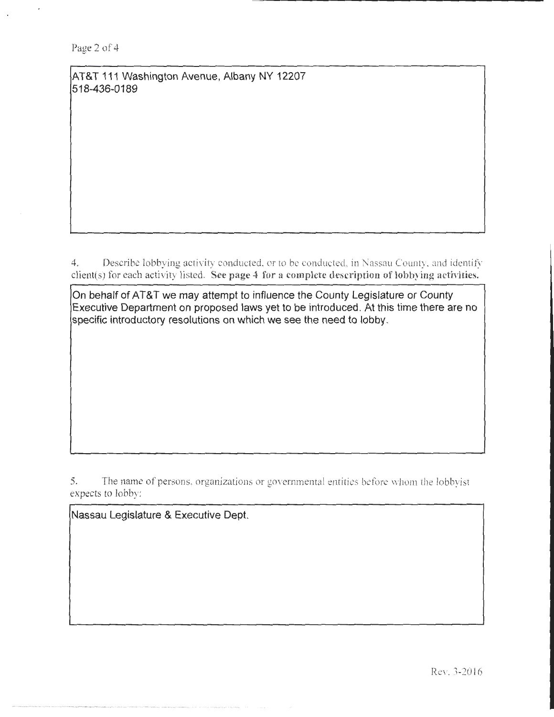AT&T 111 Washington Avenue, Albany NY 12207 518-436-0189

4. Describe lobbying activity conducted, or to be conducted, in Nassau County, and identify client(s) for each activity listed. See page 4 for a complete description of lobbying activities.

On behalf of AT&T we may attempt to influence the County Legislature or County Executive Department on proposed laws yet to be introduced . At this time there are no specific introductory resolutions on which we see the need to lobby.

5. The name of persons, organizations or governmental entities before whom the lobbyist expects to lobby:

Nassau Legislature & Executive Dept.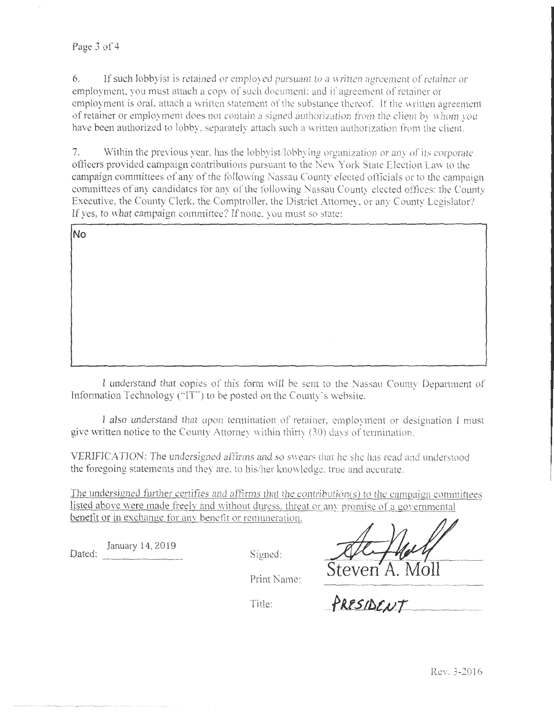## Page 3 of 4

6. If such lobby is retained or employed pursuant to a written agreement of retainer or employment. you must attach a copy of such document; and if agreement of retainer or employment is oral, attach a written statement of the substance thereof. If the written agreement of retainer or employment does not contain a signed authorization from the client by whom you have been authorized to lobby, separately attach such a written authorization from the client.

7. Within the previous year. has the lobbyist/lobbying organization or any of its corporate officers provided campaign contributions pursuant to the New York State Election Law to the campaign committees of any of the following Nassau County elected officials or to the campaign committees of any candidates for any of the following Nassau County elected offices: the County Executive, the County Clerk, the Comptroller, the District Attomey, or any County Legislator? If yes, to what campaign committee? If none, you must so state:

I understand that copies of this form will be sent to the Nassau County Department of Information Technology ("IT") to be posted on the County's website.

I also understand that upon termination of retainer, employment or designation I must give written notice to the County Attorney within thirty  $(30)$  days of termination.

VERIFICATION: The undersigned affirms and so swears that be/she has read and understood the foregoing statements and they are, to his/her knowledge, true and accurate.

The undersigned further certifies and affirms that the contribution(s) to the campaign committees listed above were made freely and without duress, threat or any promise of a governmental benefit or in exchange for any benefit or remuneration.

Dated: <u>January 14, 2019</u> Signed:

Steven A. Moll

Print Name:

Title: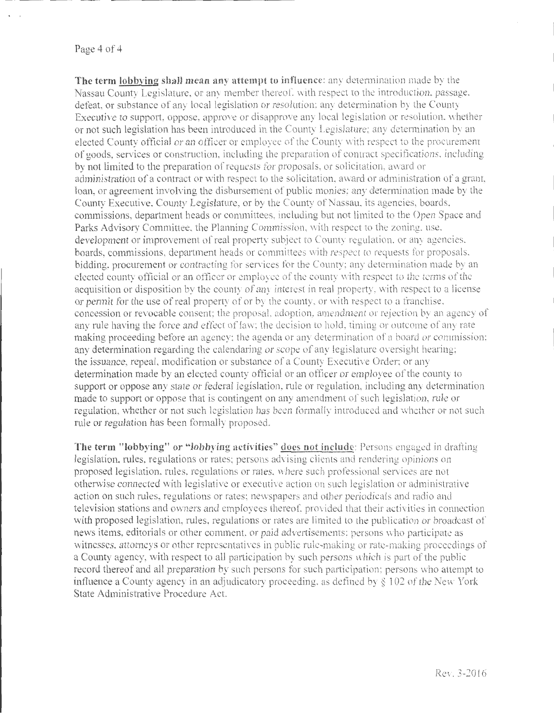### Page **4** of4

**The term lobbying shall mean any attempt to influence:** any determination made by the Nassau County Legislature, or any member thereof. with respect to the introduction. passage. defeat, or substance of any local legislation or resolution: any determination by the County Executive to support, oppose, approve or disapprove any local legislation or resolution. whether or not such legislation has been introduced in the County Legislature: any determination by an elected County official or an officer or employee of the County with respect to the procurement of goods, services or construction, including the preparation of contract specifications. including by not limited to the preparation of requests for proposals, or solicitation, award or administration of a contract or with respect to the solicitation, award or administration of a grant, loan, or agreement involving the disbursement of public monies; any determination made by the County Executive, County Legislature, or by the County of Nassau. its agencies, boards, commissions, department heads or committees, including but not limited to the Open Space and Parks Advisory Committee. the Planning Commission. with respect to the zoning. use. development or improvement of real property subject to County regulation. or any agencies. boards, commissions, department heads or committees with respect to requests for proposals. bidding, procurement or contracting for services for the County; any determination made by an elected county official or an officer or employee of the county with respect to the terms of the acquisition or disposition by the county of any interest in real property, with respect to a license or permit for the use of real property of or by the county, or with respect to a franchise. concession or revocable consent; the proposal. adoption, amendment or rejection by an agency of any rule having the force and effect of law; the decision to hold, timing or outcome of any rate making proceeding before an agency: the agenda or any determination of a board or commission: any determination regarding the calendaring or scope of any legislature oversight bearing; the issuance, repeal, modification or substance of a County Executive Order; or any determination made by an elected county official or an officer or employee of the county to support or oppose any state or federal legislation, rule or regulation, including any determination made to support or oppose that is contingent on any amendment of sueh legislation, rule or regulation, whether or not such legislation has been formally introduced and whether or not such rule or regulation has been formally proposed.

The term "lobbying" or "lobbying activities" does not include: Persons engaged in drafting legislation, rules, regulations or rates; persons advising clients and rendering opinions on proposed legislation. rules, regulations or rates. \Vhere such professional services are not otherwise connected with legislative or executive action on such legislation or administrative action on such rules, regulations or rates; newspapers and other periodicals and radio and television stations and owners and employees thereof, provided that their activities in connection with proposed legislation, rules, regulations or rates are limited to the publication or broadcast of news items, editorials or other comment. or paid advertisements: persons who participate as witnesses, attorneys or other representatives in public rule-making or rate-making proceedings of a County agency, with respect to all participation by such persons which is part of the public record thereof and all preparation by such persons for such participation; persons who attempt to influence a County agency in an adjudicatory proceeding, as defined by  $\S 102$  of the New York State Administrative Procedure Act.